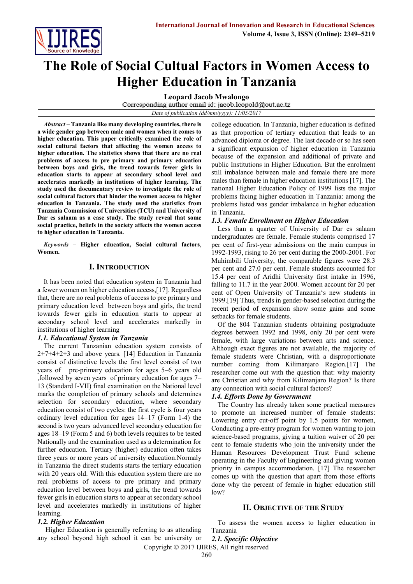

# **The Role of Social Cultual Factors in Women Access to Higher Education in Tanzania**

**Leopard Jacob Mwalongo**

Corresponding author email id: jacob.leopold@out.ac.tz *Date of publication (dd/mm/yyyy): 11/05/2017*

*Abstract* **– Tanzania like many developing countries, there is a wide gender gap between male and women when it comes to higher education. This paper critically examined the role of social cultural factors that affecting the women access to higher education. The statistics shows that there are no real problems of access to pre primary and primary education between boys and girls, the trend towards fewer girls in education starts to appear at secondary school level and accelerates markedly in institutions of higher learning. The study used the documentary review to investigate the role of social cultural factors that hinder the women access to higher education in Tanzania. The study used the statistics from Tanzania Commission of Universities (TCU) and University of Dar es salaam as a case study. The study reveal that some social practice, beliefs in the society affects the women access to higher education in Tanzania.**

*Keywords* **– Higher education, Social cultural factors**, **Women.**

# **I. INTRODUCTION**

It has been noted that education system in Tanzania had a fewer women on higher education access,[17]. Regardless that, there are no real problems of access to pre primary and primary education level between boys and girls, the trend towards fewer girls in education starts to appear at secondary school level and accelerates markedly in institutions of higher learning

# *1.1. Educational System in Tanzania*

The current Tanzanian education system consists of 2+7+4+2+3 and above years. [14] Education in Tanzania consist of distinctive levels the first level consist of two years of pre-primary education for ages 5–6 years old ,followed by seven years of primary education for ages 7– 13 (Standard I-VII) final examination on the National level marks the completion of primary schools and determines selection for secondary education, where secondary education consist of two cycles: the first cycle is four years ordinary level education for ages 14–17 (Form 1-4) the second is two years advanced level secondary education for ages 18–19 (Form 5 and 6) both levels requires to be tested Nationally and the examination used as a determination for further education. Tertiary (higher) education often takes three years or more years of university education.Normaly in Tanzania the direct students starts the tertiary education with 20 years old. With this education system there are no real problems of access to pre primary and primary education level between boys and girls, the trend towards fewer girls in education starts to appear at secondary school level and accelerates markedly in institutions of higher learning.

# *1.2. Higher Education*

Higher Education is generally referring to as attending any school beyond high school it can be university or college education. In Tanzania, higher education is defined as that proportion of tertiary education that leads to an advanced diploma or degree. The last decade or so has seen a significant expansion of higher education in Tanzania because of the expansion and additional of private and public Institutions in Higher Education. But the enrolment still imbalance between male and female there are more males than female in higher education institutions [17]. The national Higher Education Policy of 1999 lists the major problems facing higher education in Tanzania: among the problems listed was gender imbalance in higher education in Tanzania.

# *1.3. Female Enrollment on Higher Education*

Less than a quarter of University of Dar es salaam undergraduates are female. Female students comprised 17 per cent of first-year admissions on the main campus in 1992-1993, rising to 26 per cent during the 2000-2001. For Muhimbili University, the comparable figures were 28.3 per cent and 27.0 per cent. Female students accounted for 15.4 per cent of Aridhi University first intake in 1996, falling to 11.7 in the year 2000. Women account for 20 per cent of [Open University of Tanzania](http://www.tanzania.go.tz/out.htm)'s new students in 1999.[19] Thus, trends in gender-based selection during the recent period of expansion show some gains and some setbacks for female students.

Of the 804 Tanzanian students obtaining postgraduate degrees between 1992 and 1998, only 20 per cent were female, with large variations between arts and science. Although exact figures are not available, the majority of female students were Christian, with a disproportionate number coming from Kilimanjaro Region.[17] The researcher come out with the question that: why majority are Christian and why from Kilimanjaro Region? Is there any connection with social cultural factors?

# *1.4. Efforts Done by Government*

The Country has already taken some practical measures to promote an increased number of female students: Lowering entry cut-off point by 1.5 points for women, Conducting a pre-entry program for women wanting to join science-based programs, giving a tuition waiver of 20 per cent to female students who join the university under the Human Resources Development Trust Fund scheme operating in the Faculty of Engineering and giving women priority in campus accommodation. [17] The researcher comes up with the question that apart from those efforts done why the percent of female in higher education still  $low?$ 

# **II. OBJECTIVE OF THE STUDY**

To assess the women access to higher education in Tanzania

Copyright © 2017 IJIRES, All right reserved *2.1. Specific Objective*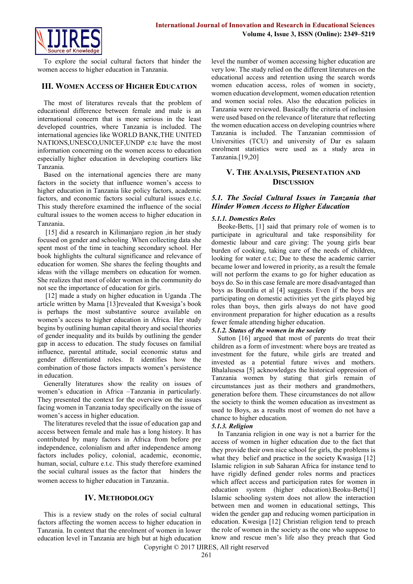

To explore the social cultural factors that hinder the women access to higher education in Tanzania.

# **III. WOMEN ACCESS OF HIGHER EDUCATION**

The most of literatures reveals that the problem of educational difference between female and male is an international concern that is more serious in the least developed countries, where Tanzania is included. The international agencies like WORLD BANK,THE UNITED NATIONS,UNESCO,UNICEF,UNDP e.tc have the most information concerning on the women access to education especially higher education in developing courtiers like Tanzania.

Based on the international agencies there are many factors in the society that influence women's access to higher education in Tanzania like policy factors, academic factors, and economic factors social cultural issues e.t.c. This study therefore examined the influence of the social cultural issues to the women access to higher education in Tanzania.

[15] did a research in Kilimanjaro region , in her study focused on gender and schooling .When collecting data she spent most of the time in teaching secondary school. Her book highlights the cultural significance and relevance of education for women. She shares the feeling thoughts and ideas with the village members on education for women. She realizes that most of older women in the community do not see the importance of education for girls.

[12] made a study on higher education in Uganda .The article written by Mama [13]revealed that Kwesiga's book is perhaps the most substantive source available on women's access to higher education in Africa. Her study begins by outlining human capital theory and social theories of gender inequality and its builds by outlining the gender gap in access to education. The study focuses on familial influence, parental attitude, social economic status and gender differentiated roles. It identifies how the combination of those factors impacts women's persistence in education.

Generally literatures show the reality on issues of women's education in Africa –Tanzania in particularly. They presented the context for the overview on the issues facing women in Tanzania today specifically on the issue of women's access in higher education.

The literatures reveled that the issue of education gap and access between female and male has a long history. It has contributed by many factors in Africa from before pre independence, colonialism and after independence among factors includes policy, colonial, academic, economic, human, social, culture e.t.c. This study therefore examined the social cultural issues as the factor that hinders the women access to higher education in Tanzania.

# **IV. METHODOLOGY**

This is a review study on the roles of social cultural factors affecting the women access to higher education in Tanzania. In context that the enrolment of women in lower education level in Tanzania are high but at high education level the number of women accessing higher education are very low. The study relied on the different literatures on the educational access and retention using the search words women education access, roles of women in society, women education development, women education retention and women social roles. Also the education policies in Tanzania were reviewed. Basically the criteria of inclusion were used based on the relevance of literature that reflecting the women education access on developing countries where Tanzania is included. The Tanzanian commission of Universities (TCU) and university of Dar es salaam enrolment statistics were used as a study area in Tanzania.[19,20]

# **V. THE ANALYSIS, PRESENTATION AND DISCUSSION**

# *5.1. The Social Cultural Issues in Tanzania that Hinder Women Access to Higher Education*

#### *5.1.1. Domestics Roles*

Beoke-Betts, [1] said that primary role of women is to participate in agricultural and take responsibility for domestic labour and care giving: The young girls bear burden of cooking, taking care of the needs of children, looking for water e.t.c; Due to these the academic carrier became lower and lowered in priority, as a result the female will not perform the exams to go for higher education as boys do. So in this case female are more disadvantaged than boys as Bourdiu et al [4] suggests. Even if the boys are participating on domestic activities yet the girls played big roles than boys, then girls always do not have good environment preparation for higher education as a results fewer female attending higher education.

# *5.1.2. Status of the women in the society*

Sutton [16] argued that most of parents do treat their children as a form of investment: where boys are treated as investment for the future, while girls are treated and invested as a potential future wives and mothers. Bhalalusesa [5] acknowledges the historical oppression of Tanzania women by stating that girls remain of circumstances just as their mothers and grandmothers, generation before them. These circumstances do not allow the society to think the women education as investment as used to Boys, as a results most of women do not have a chance to higher education.

# *5.1.3. Religion*

In Tanzania religion in one way is not a barrier for the access of women in higher education due to the fact that they provide their own nice school for girls, the problems is what they belief and practice in the society Kwasiga [12] Islamic religion in sub Saharan Africa for instance tend to have rigidly defined gender roles norms and practices which affect access and participation rates for women in education system (higher education).Beoku-Betts[1] Islamic schooling system does not allow the interaction between men and women in educational settings, This widen the gender gap and reducing women participation in education. Kwesiga [12] Christian religion tend to preach the role of women in the society as the one who suppose to know and rescue men's life also they preach that God

Copyright © 2017 IJIRES, All right reserved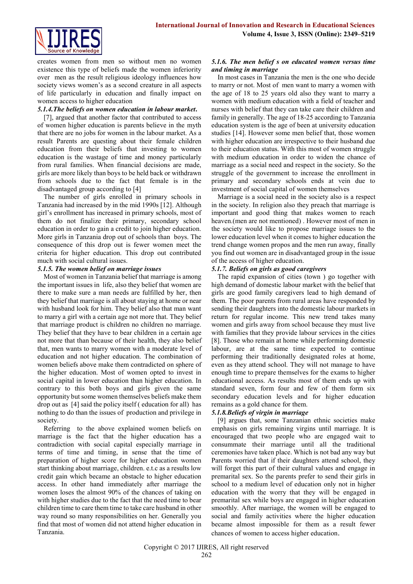

creates women from men so without men no women existence this type of beliefs made the women inferiority over men as the result religious ideology influences how society views women's as a second creature in all aspects of life particularly in education and finally impact on women access to higher education

### *5.1.4.The beliefs on women education in labour market***.**

[7], argued that another factor that contributed to access of women higher education is parents believe in the myth that there are no jobs for women in the labour market. As a result Parents are questing about their female children education from their beliefs that investing to women education is the wastage of time and money particularly from rural families. When financial decisions are made, girls are more likely than boys to be held back or withdrawn from schools due to the fact that female is in the disadvantaged group according to [4]

The number of girls enrolled in primary schools in Tanzania had increased by in the mid 1990s [12]. Although girl's enrollment has increased in primary schools, most of them do not finalize their primary, secondary school education in order to gain a credit to join higher education. More girls in Tanzania drop out of schools than boys. The consequence of this drop out is fewer women meet the criteria for higher education. This drop out contributed much with social cultural issues.

# *5.1.5. The women belief on marriage issues*

Most of women in Tanzania belief that marriage is among the important issues in life, also they belief that women are there to make sure a man needs are fulfilled by her, then they belief that marriage is all about staying at home or near with husband look for him. They belief also that man want to marry a girl with a certain age not more that. They belief that marriage product is children no children no marriage. They belief that they have to bear children in a certain age not more that than because of their health, they also belief that, men wants to marry women with a moderate level of education and not higher education. The combination of women beliefs above make them contradicted on sphere of the higher education. Most of women opted to invest in social capital in lower education than higher education. In contrary to this both boys and girls given the same opportunity but some women themselves beliefs make them drop out as [4] said the policy itself ( education for all) has nothing to do than the issues of production and privilege in society.

Referring to the above explained women beliefs on marriage is the fact that the higher education has a contradiction with social capital especially marriage in terms of time and timing, in sense that the time of preparation of higher score for higher education women start thinking about marriage, children. e.t.c as a results low credit gain which became an obstacle to higher education access. In other hand immediately after marriage the women loses the almost 90% of the chances of taking on with higher studies due to the fact that the need time to bear children time to care them time to take care husband in other way round so many responsibilities on her. Generally you find that most of women did not attend higher education in Tanzania.

#### *5.1.6. The men belief s on educated women versus time and timing in marriage*

In most cases in Tanzania the men is the one who decide to marry or not. Most of men want to marry a women with the age of 18 to 25 years old also they want to marry a women with medium education with a field of teacher and nurses with belief that they can take care their children and family in generally. The age of 18-25 according to Tanzania education system is the age of been at university education studies [14]. However some men belief that, those women with higher education are irrespective to their husband due to their education status. With this most of women struggle with medium education in order to widen the chance of marriage as a social need and respect in the society. So the struggle of the government to increase the enrollment in primary and secondary schools ends at vein due to investment of social capital of women themselves

Marriage is a social need in the society also is a respect in the society. In religion also they preach that marriage is important and good thing that makes women to reach heaven.(men are not mentioned) . However most of men in the society would like to propose marriage issues to the lower education level when it comes to higher education the trend change women propos and the men run away, finally you find out women are in disadvantaged group in the issue of the access of higher education.

#### *5.1.7. Beliefs on girls as good caregivers*

The rapid expansion of cities (town ) go together with high demand of domestic labour market with the belief that girls are good family caregivers lead to high demand of them. The poor parents from rural areas have responded by sending their daughters into the domestic labour markets in return for regular income. This new trend takes many women and girls away from school because they must live with families that they provide labour services in the cities [8]. Those who remain at home while performing domestic labour, are at the same time expected to continue performing their traditionally designated roles at home, even as they attend school. They will not manage to have enough time to prepare themselves for the exams to higher educational access. As results most of them ends up with standard seven, form four and few of them form six secondary education levels and for higher education remains as a gold chance for them.

# *5.1.8.Beliefs of virgin in marriage*

[9] argues that, some Tanzanian ethnic societies make emphasis on girls remaining virgins until marriage. It is encouraged that two people who are engaged wait to consummate their marriage until all the traditional ceremonies have taken place. Which is not bad any way but Parents worried that if their daughters attend school, they will forget this part of their cultural values and engage in premarital sex. So the parents prefer to send their girls in school to a medium level of education only not in higher education with the worry that they will be engaged in premarital sex while boys are engaged in higher education smoothly. After marriage, the women will be engaged to social and family activities where the higher education became almost impossible for them as a result fewer chances of women to access higher education.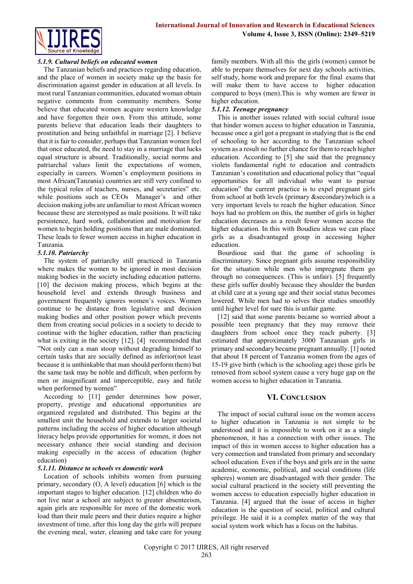

# *5.1.9. Cultural beliefs on educated women*

The Tanzanian beliefs and practices regarding education, and the place of women in society make up the basis for discrimination against gender in education at all levels. In most rural Tanzanian communities, educated woman obtain negative comments from community members. Some believe that educated women acquire western knowledge and have forgotten their own. From this attitude, some parents believe that education leads their daughters to prostitution and being unfaithful in marriage [2]. I believe that it is fair to consider, perhaps that Tanzanian women feel that once educated, the need to stay in a marriage that lucks equal structure is absurd. Traditionally, social norms and patriarchal values limit the expectations of women, especially in careers. Women's employment positions in most African(Tanzania) countries are still very confined to the typical roles of teachers, nurses, and secretaries" etc. while positions such as CEOs Manager's and other decision making jobs are unfamiliar to most African women because these are stereotyped as male positions. It will take persistence, hard work, collaboration and motivation for women to begin holding positions that are male dominated. These leads to fewer women access in higher education in Tanzania.

#### *5.1.10. Patriarchy*

The system of patriarchy still practiced in Tanzania where makes the women to be ignored in most decision making bodies in the society including education patterns. [10] the decision making process, which begins at the household level and extends through business and government frequently ignores women's voices. Women continue to be distance from legislative and decision making bodies and other position power which prevents them from creating social policies in a society to decide to continue with the higher education, rather than practicing what is exiting in the society [12]. [4] recommended that "Not only can a man stoop without degrading himself to certain tasks that are socially defined as inferior(not least because it is unthinkable that man should perform them) but the same task may be noble and difficult, when perform by men or insignificant and imperceptible, easy and futile when performed by women"

According to [11] gender determines how power, property, prestige and educational opportunities are organized regulated and distributed. This begins at the smallest unit the household and extends to larger societal patterns including the access of higher education although literacy helps provide opportunities for women, it does not necessary enhance their social standing and decision making especially in the access of education (higher education)

#### *5.1.11. Distance to schools vs domestic work*

Location of schools inhibits women from pursuing primary, secondary (O, A level) education [6] which is the important stages to higher education. [12] children who do not live near a school are subject to greater absenteeism, again girls are responsible for more of the domestic work load than their male peers and their duties require a higher investment of time, after this long day the girls will prepare the evening meal, water, cleaning and take care for young

family members. With all this the girls (women) cannot be able to prepare themselves for next day schools activities, self study, home work and prepare for the final exams that will make them to have access to higher education compared to boys (men).This is why women are fewer in higher education.

# *5.1.12. Teenage pregnancy*

This is another issues related with social cultural issue that hinder women access to higher education in Tanzania, because once a girl got a pregnant in studying that is the end of schooling to her according to the Tanzanian school system as a result no further chance for them to reach higher education. According to [5] she said that the pregnancy violets fundamental right to education and contradicts Tanzanian's constitution and educational policy that "equal opportunities for all individual who want to pursue education" the current practice is to expel pregnant girls from school at both levels (primary &secondary)which is a very important levels to reach the higher education. Since boys had no problem on this, the number of girls in higher education decreases as a result fewer women access the higher education. In this with Boudieu ideas we can place girls as a disadvantaged group in accessing higher education.

Bourdioue said that the game of schooling is discriminatory. Since pregnant girls assume responsibility for the situation while men who impregnate them go through no consequences. (This is unfair). [5] frequently these girls suffer doubly because they shoulder the burden at child care at a young age and their social status becomes lowered. While men had to selves their studies smoothly until higher level for sure this is unfair game.

[12] said that some parents became so worried about a possible teen pregnancy that they may remove their daughters from school once they reach puberty. [3] estimated that approximately 3000 Tanzanian girls in primary and secondary became pregnant annually. [1] noted that about 18 percent of Tanzania women from the ages of 15-19 give birth (which is the schooling age) those girls be removed from school system cause a very huge gap on the women access to higher education in Tanzania.

# **VI. CONCLUSION**

The impact of social cultural issue on the women access to higher education in Tanzania is not simple to be understood and it is impossible to work on it as a single phenomenon, it has a connection with other issues. The impact of this in women access to higher education has a very connection and translated from primary and secondary school education. Even if the boys and girls are in the same academic, economic, political, and social conditions (life spheres) women are disadvantaged with their gender. The social cultural practiced in the society still preventing the women access to education especially higher education in Tanzania. [4] argued that the issue of access in higher education is the question of social, political and cultural privilege. He said it is a complex matter of the way that social system work which has a focus on the habitus.